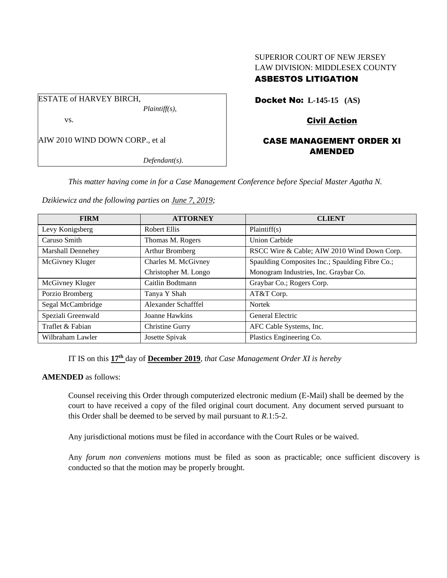# SUPERIOR COURT OF NEW JERSEY LAW DIVISION: MIDDLESEX COUNTY ASBESTOS LITIGATION

ESTATE of HARVEY BIRCH, *Plaintiff(s),* vs.

AIW 2010 WIND DOWN CORP., et al

*Defendant(s).*

Docket No: **L-145-15 (AS)** 

Civil Action

# CASE MANAGEMENT ORDER XI AMENDED

*This matter having come in for a Case Management Conference before Special Master Agatha N.* 

*Dzikiewicz and the following parties on June 7, 2019;*

| <b>FIRM</b>              | <b>ATTORNEY</b>      | <b>CLIENT</b>                                   |
|--------------------------|----------------------|-------------------------------------------------|
| Levy Konigsberg          | <b>Robert Ellis</b>  | Plaintiff(s)                                    |
| Caruso Smith             | Thomas M. Rogers     | Union Carbide                                   |
| <b>Marshall Dennehey</b> | Arthur Bromberg      | RSCC Wire & Cable; AIW 2010 Wind Down Corp.     |
| McGivney Kluger          | Charles M. McGivney  | Spaulding Composites Inc.; Spaulding Fibre Co.; |
|                          | Christopher M. Longo | Monogram Industries, Inc. Graybar Co.           |
| McGivney Kluger          | Caitlin Bodtmann     | Graybar Co.; Rogers Corp.                       |
| Porzio Bromberg          | Tanya Y Shah         | AT&T Corp.                                      |
| Segal McCambridge        | Alexander Schafffel  | <b>Nortek</b>                                   |
| Speziali Greenwald       | Joanne Hawkins       | General Electric                                |
| Traflet & Fabian         | Christine Gurry      | AFC Cable Systems, Inc.                         |
| Wilbraham Lawler         | Josette Spivak       | Plastics Engineering Co.                        |

IT IS on this **17 th** day of **December 2019**, *that Case Management Order XI is hereby*

**AMENDED** as follows:

Counsel receiving this Order through computerized electronic medium (E-Mail) shall be deemed by the court to have received a copy of the filed original court document. Any document served pursuant to this Order shall be deemed to be served by mail pursuant to *R*.1:5-2.

Any jurisdictional motions must be filed in accordance with the Court Rules or be waived.

Any *forum non conveniens* motions must be filed as soon as practicable; once sufficient discovery is conducted so that the motion may be properly brought.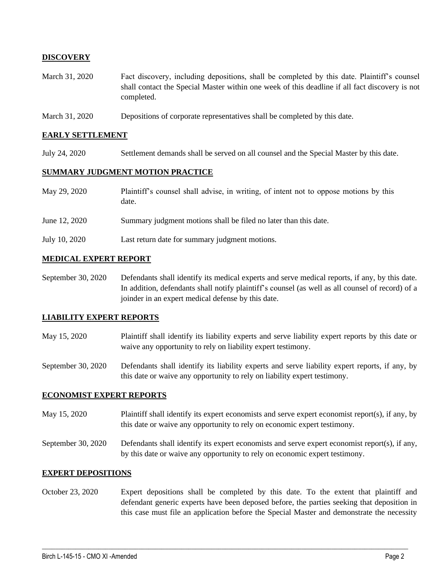# **DISCOVERY**

- March 31, 2020 Fact discovery, including depositions, shall be completed by this date. Plaintiff's counsel shall contact the Special Master within one week of this deadline if all fact discovery is not completed.
- March 31, 2020 Depositions of corporate representatives shall be completed by this date.

#### **EARLY SETTLEMENT**

July 24, 2020 Settlement demands shall be served on all counsel and the Special Master by this date.

#### **SUMMARY JUDGMENT MOTION PRACTICE**

| May 29, 2020  | Plaintiff's counsel shall advise, in writing, of intent not to oppose motions by this<br>date. |
|---------------|------------------------------------------------------------------------------------------------|
| June 12, 2020 | Summary judgment motions shall be filed no later than this date.                               |
| July 10, 2020 | Last return date for summary judgment motions.                                                 |

# **MEDICAL EXPERT REPORT**

September 30, 2020 Defendants shall identify its medical experts and serve medical reports, if any, by this date. In addition, defendants shall notify plaintiff's counsel (as well as all counsel of record) of a joinder in an expert medical defense by this date.

## **LIABILITY EXPERT REPORTS**

May 15, 2020 Plaintiff shall identify its liability experts and serve liability expert reports by this date or waive any opportunity to rely on liability expert testimony.

September 30, 2020 Defendants shall identify its liability experts and serve liability expert reports, if any, by this date or waive any opportunity to rely on liability expert testimony.

## **ECONOMIST EXPERT REPORTS**

- May 15, 2020 Plaintiff shall identify its expert economists and serve expert economist report(s), if any, by this date or waive any opportunity to rely on economic expert testimony.
- September 30, 2020 Defendants shall identify its expert economists and serve expert economist report(s), if any, by this date or waive any opportunity to rely on economic expert testimony.

## **EXPERT DEPOSITIONS**

October 23, 2020 Expert depositions shall be completed by this date. To the extent that plaintiff and defendant generic experts have been deposed before, the parties seeking that deposition in this case must file an application before the Special Master and demonstrate the necessity

 $\_$  , and the set of the set of the set of the set of the set of the set of the set of the set of the set of the set of the set of the set of the set of the set of the set of the set of the set of the set of the set of th